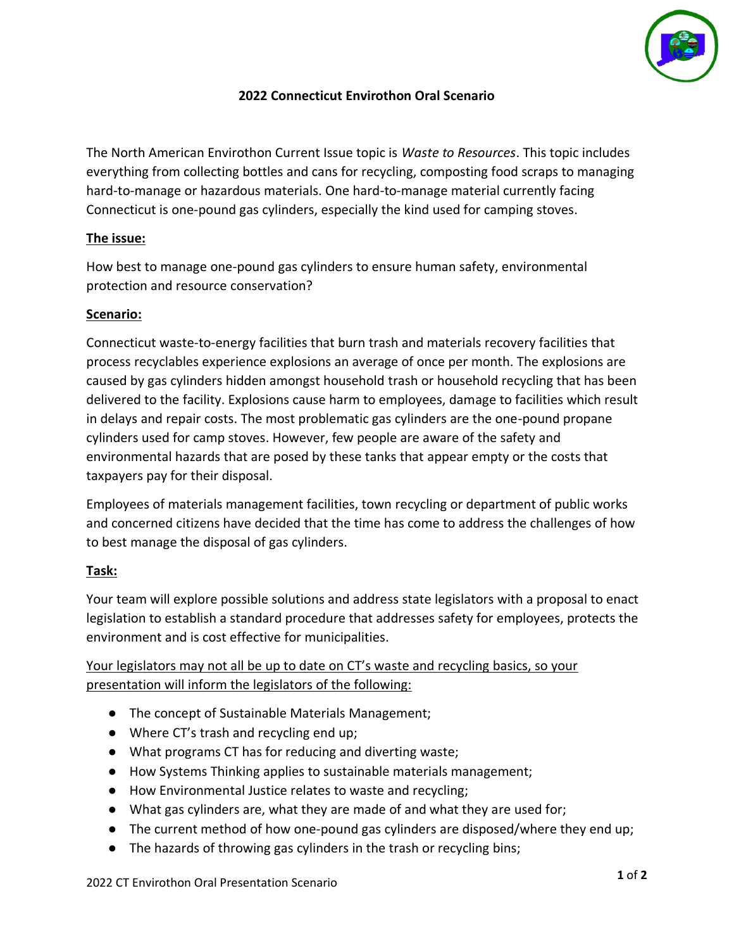

# **2022 Connecticut Envirothon Oral Scenario**

The North American Envirothon Current Issue topic is *Waste to Resources*. This topic includes everything from collecting bottles and cans for recycling, composting food scraps to managing hard-to-manage or hazardous materials. One hard-to-manage material currently facing Connecticut is one-pound gas cylinders, especially the kind used for camping stoves.

## **The issue:**

How best to manage one-pound gas cylinders to ensure human safety, environmental protection and resource conservation?

# **Scenario:**

Connecticut waste-to-energy facilities that burn trash and materials recovery facilities that process recyclables experience explosions an average of once per month. The explosions are caused by gas cylinders hidden amongst household trash or household recycling that has been delivered to the facility. Explosions cause harm to employees, damage to facilities which result in delays and repair costs. The most problematic gas cylinders are the one-pound propane cylinders used for camp stoves. However, few people are aware of the safety and environmental hazards that are posed by these tanks that appear empty or the costs that taxpayers pay for their disposal.

Employees of materials management facilities, town recycling or department of public works and concerned citizens have decided that the time has come to address the challenges of how to best manage the disposal of gas cylinders.

# **Task:**

Your team will explore possible solutions and address state legislators with a proposal to enact legislation to establish a standard procedure that addresses safety for employees, protects the environment and is cost effective for municipalities.

Your legislators may not all be up to date on CT's waste and recycling basics, so your presentation will inform the legislators of the following:

- The concept of Sustainable Materials Management;
- Where CT's trash and recycling end up;
- What programs CT has for reducing and diverting waste;
- How Systems Thinking applies to sustainable materials management;
- How Environmental Justice relates to waste and recycling;
- What gas cylinders are, what they are made of and what they are used for;
- The current method of how one-pound gas cylinders are disposed/where they end up;
- The hazards of throwing gas cylinders in the trash or recycling bins;